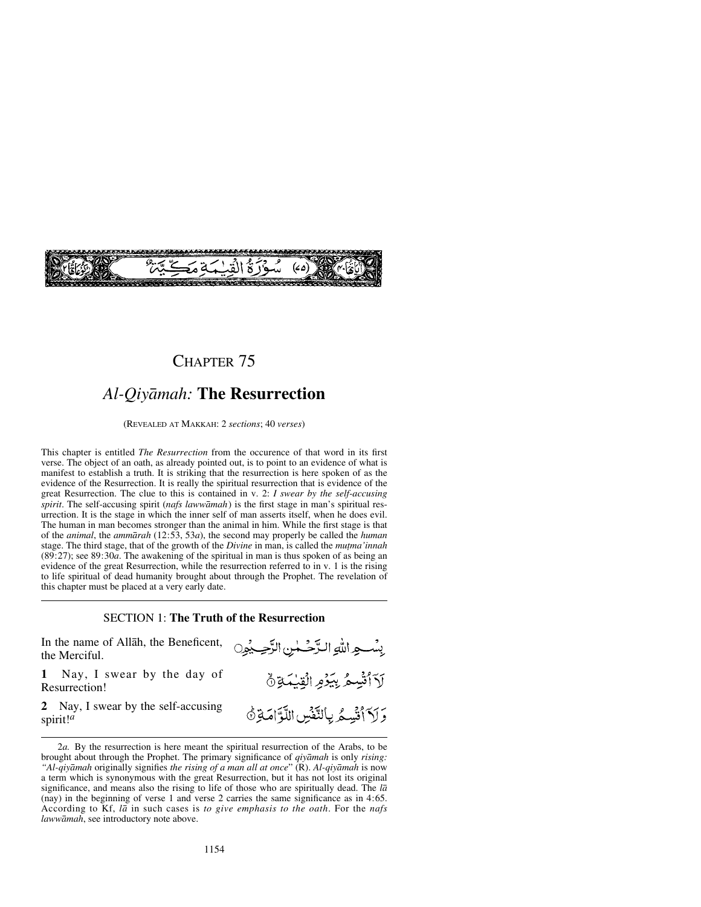

### CHAPTER 75

# *Al-Qiyåmah:* **The Resurrection**

(REVEALED AT MAKKAH: 2 *sections*; 40 *verses*)

This chapter is entitled *The Resurrection* from the occurence of that word in its first verse. The object of an oath, as already pointed out, is to point to an evidence of what is manifest to establish a truth. It is striking that the resurrection is here spoken of as the evidence of the Resurrection. It is really the spiritual resurrection that is evidence of the great Resurrection. The clue to this is contained in v. 2: *I swear by the self-accusing spirit*. The self-accusing spirit (*nafs lawwåmah*) is the first stage in man's spiritual resurrection. It is the stage in which the inner self of man asserts itself, when he does evil. The human in man becomes stronger than the animal in him. While the first stage is that of the *animal*, the *ammårah* (12:53, 53*a*), the second may properly be called the *human* stage. The third stage, that of the growth of the *Divine* in man, is called the *mutma'innah* (89:27); see 89:30*a*. The awakening of the spiritual in man is thus spoken of as being an evidence of the great Resurrection, while the resurrection referred to in v. 1 is the rising to life spiritual of dead humanity brought about through the Prophet. The revelation of this chapter must be placed at a very early date.

#### SECTION 1: **The Truth of the Resurrection**

In the name of Allåh, the Beneficent, the Merciful.

**1** Nay, I swear by the day of Resurrection!

**2** Nay, I swear by the self-accusing spirit!*<sup>a</sup>*

بِينْبِ واللهِ التَّرْحُبِينِ الرَّحِبِيْمِينِ لَاَأْتُسِعُ بِيَوْمِ الْقِيْمَةِ ٥

وَلَاَ أُنْسِمُ بِالتَّفْسِ اللَّوَّامَةِ ﴾

<sup>2</sup>*a.* By the resurrection is here meant the spiritual resurrection of the Arabs, to be brought about through the Prophet. The primary significance of *qiyåmah* is only *rising: "Al-qiyåmah* originally signifies *the rising of a man all at once*" (R). *Al-qiyåmah* is now a term which is synonymous with the great Resurrection, but it has not lost its original significance, and means also the rising to life of those who are spiritually dead. The *lå* (nay) in the beginning of verse 1 and verse 2 carries the same significance as in 4:65. According to Kf, *lå* in such cases is *to give emphasis to the oath*. For the *nafs lawwåmah*, see introductory note above.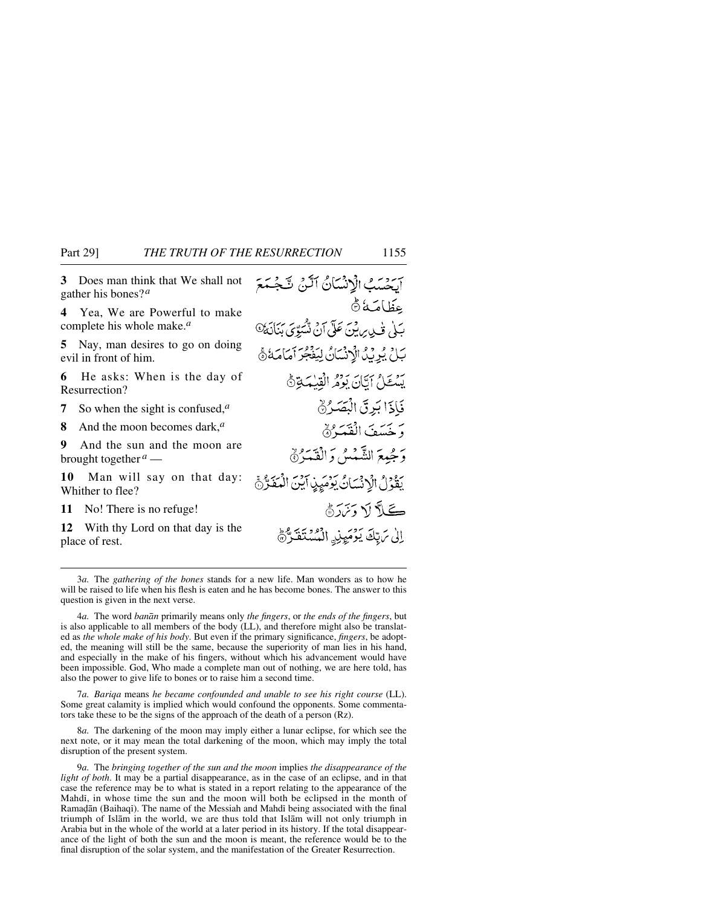**3** Does man think that We shall not gather his bones?*<sup>a</sup>*

**4** Yea, We are Powerful to make complete his whole make.*<sup>a</sup>*

**5** Nay, man desires to go on doing evil in front of him.

**6** He asks: When is the day of Resurrection?

**7** So when the sight is confused,*<sup>a</sup>*

**8** And the moon becomes dark,*<sup>a</sup>*

**9** And the sun and the moon are brought together *<sup>a</sup>* —

**10** Man will say on that day: Whither to flee?

**11** No! There is no refuge!

**12** With thy Lord on that day is the place of rest.

آكشتك الإنسانُ آلَنْ شَجْمَعَ عِظَامَة بَلْى تَحْدِيرِيْنَ عَلَى آنَ شَّيِّرِيَ بَنَانَةَ @ بَلْ يُرِيْدُ الْإِنْسَانُ لِيَفْجُرِ أَمَامَةُ ﴾ بَعْدَ إِيَّانَ بَوْمُ الْقِيْمَةِ ﴾ فَإِذَا بَرِقَ الْبَصَرُ وَخَسَفَ الْفَعَدُ% وَجُمِعَ الشَّمْسُ وَالْقَمَرُ ﴾ بَعْدُلُ الْإِنْسَانُ بَوْمَيِنِ آَبَنَ الْمَغَرُّجُ كَ لَا أَسْ دَيْرَةً إِلَى مَرِيّكَ يَوْمَيِنِ الْمُسْتَقَرِّ،

3*a.* The *gathering of the bones* stands for a new life. Man wonders as to how he will be raised to life when his flesh is eaten and he has become bones. The answer to this question is given in the next verse.

4*a.* The word *banån* primarily means only *the fingers*, or *the ends of the fingers*, but is also applicable to all members of the body (LL), and therefore might also be translated as *the whole make of his body*. But even if the primary significance, *fingers*, be adopted, the meaning will still be the same, because the superiority of man lies in his hand, and especially in the make of his fingers, without which his advancement would have been impossible. God, Who made a complete man out of nothing, we are here told, has also the power to give life to bones or to raise him a second time.

7*a. Bariqa* means *he became confounded and unable to see his right course* (LL). Some great calamity is implied which would confound the opponents. Some commentators take these to be the signs of the approach of the death of a person (Rz).

8*a.* The darkening of the moon may imply either a lunar eclipse, for which see the next note, or it may mean the total darkening of the moon, which may imply the total disruption of the present system.

9*a.* The *bringing together of the sun and the moon* implies *the disappearance of the light of both*. It may be a partial disappearance, as in the case of an eclipse, and in that case the reference may be to what is stated in a report relating to the appearance of the Mahdß, in whose time the sun and the moon will both be eclipsed in the month of Ramadān (Baihaqī). The name of the Messiah and Mahdī being associated with the final triumph of Islåm in the world, we are thus told that Islåm will not only triumph in Arabia but in the whole of the world at a later period in its history. If the total disappearance of the light of both the sun and the moon is meant, the reference would be to the final disruption of the solar system, and the manifestation of the Greater Resurrection.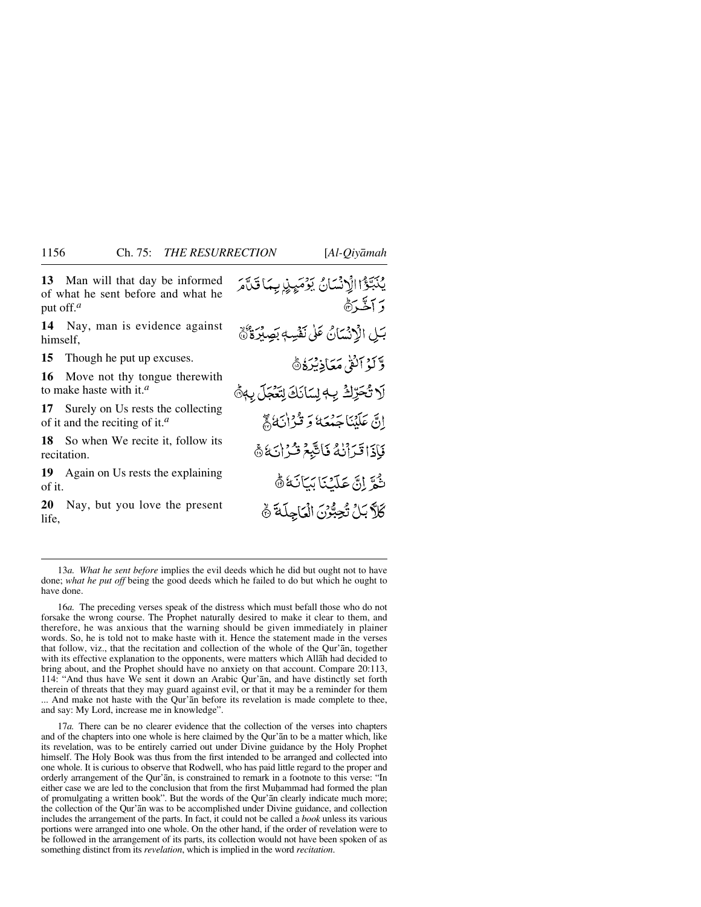**13** Man will that day be informed of what he sent before and what he put off.*<sup>a</sup>*

**14** Nay, man is evidence against himself,

**15** Though he put up excuses.

**16** Move not thy tongue therewith to make haste with it.*<sup>a</sup>*

**17** Surely on Us rests the collecting of it and the reciting of it.*<sup>a</sup>*

**18** So when We recite it, follow its recitation.

**19** Again on Us rests the explaining of it.

**20** Nay, but you love the present life,

يْكَبِّؤْا الْإِنْسَانُ يَوْمَيِنِ بِمَا قَلَّمَ د سڪ ره بَلِ الْإِنْسَانُ عَلَى نَفْسِهٖ بَصِيْرَةٌ ﴾ وَّكَوْ ٱلْقَىٰ مَعَاذِيْرَةُ ﴾ لَا تُحَرِّكُ بِهِ لِسَانَكَ لِتَعْجَلَ بِهِ هُ إِنَّ عَلَيْنَا جَمْعَهُ وَقَوْاٰنَهُ ﴾ فَإِذَا قَرَأَنْهُ فَاتَّبِعُ قُرْانَهُ ﴾ ثُمَّ إِنَّ عَلَيْنَا بَيَانَةُ ﴾ كَلَّ بَلْ تُحِبُّرْنَ الْعَاجِلَةَ ﴾

13*a. What he sent before* implies the evil deeds which he did but ought not to have done; *what he put off* being the good deeds which he failed to do but which he ought to have done.

16*a.* The preceding verses speak of the distress which must befall those who do not forsake the wrong course. The Prophet naturally desired to make it clear to them, and therefore, he was anxious that the warning should be given immediately in plainer words. So, he is told not to make haste with it. Hence the statement made in the verses that follow, viz., that the recitation and collection of the whole of the Qur'ån, together with its effective explanation to the opponents, were matters which Allåh had decided to bring about, and the Prophet should have no anxiety on that account. Compare 20:113, 114: "And thus have We sent it down an Arabic Qur'ån, and have distinctly set forth therein of threats that they may guard against evil, or that it may be a reminder for them ... And make not haste with the Qur'ån before its revelation is made complete to thee, and say: My Lord, increase me in knowledge".

17*a.* There can be no clearer evidence that the collection of the verses into chapters and of the chapters into one whole is here claimed by the Qur'ån to be a matter which, like its revelation, was to be entirely carried out under Divine guidance by the Holy Prophet himself. The Holy Book was thus from the first intended to be arranged and collected into one whole. It is curious to observe that Rodwell, who has paid little regard to the proper and orderly arrangement of the Qur'ån, is constrained to remark in a footnote to this verse: "In either case we are led to the conclusion that from the first Muhammad had formed the plan of promulgating a written book". But the words of the Qur'ån clearly indicate much more; the collection of the Qur'ån was to be accomplished under Divine guidance, and collection includes the arrangement of the parts. In fact, it could not be called a *book* unless its various portions were arranged into one whole. On the other hand, if the order of revelation were to be followed in the arrangement of its parts, its collection would not have been spoken of as something distinct from its *revelation*, which is implied in the word *recitation*.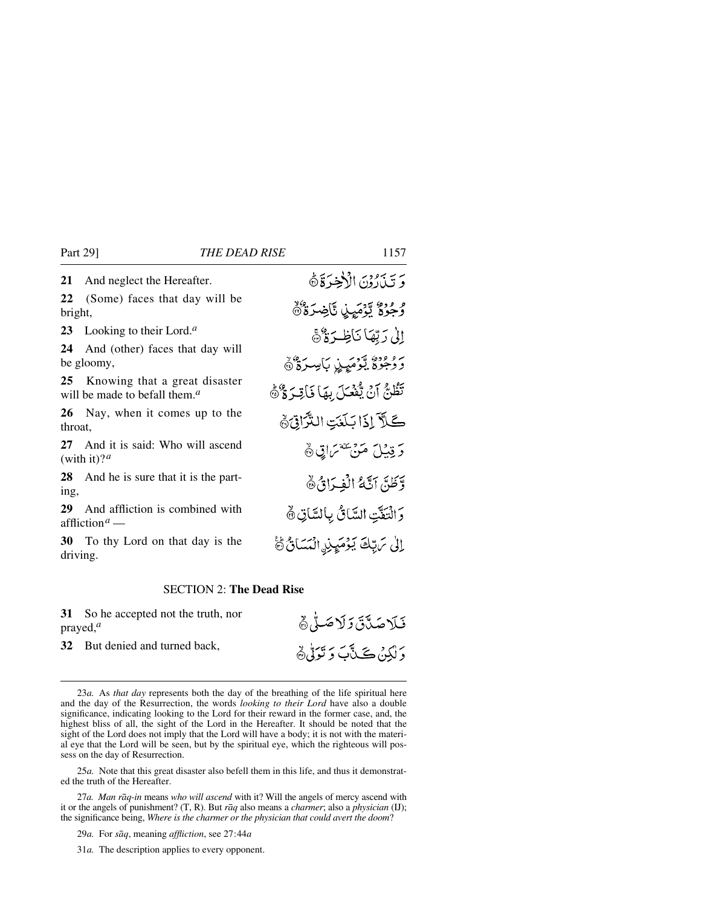**21** And neglect the Hereafter.

**22** (Some) faces that day will be bright,

**23** Looking to their Lord.*<sup>a</sup>*

**24** And (other) faces that day will be gloomy,

**25** Knowing that a great disaster will be made to befall them.*<sup>a</sup>*

**26** Nay, when it comes up to the throat,

**27** And it is said: Who will ascend (with it)? $a$ 

**28** And he is sure that it is the parting,

**29** And affliction is combined with affliction*<sup>a</sup>* —

**30** To thy Lord on that day is the driving.

#### SECTION 2: **The Dead Rise**

**31** So he accepted not the truth, nor prayed,*<sup>a</sup>*

**32** But denied and turned back,

25*a.* Note that this great disaster also befell them in this life, and thus it demonstrated the truth of the Hereafter.

27*a. Man råq-in* means *who will ascend* with it? Will the angels of mercy ascend with it or the angels of punishment? (T, R). But *råq* also means a *charmer*; also a *physician* (IJ); the significance being, *Where is the charmer or the physician that could avert the doom*?

29*a.* For *såq*, meaning *affliction*, see 27:44*a*

31*a.* The description applies to every opponent.

وَ تَبِذَارُوْنَ الْأَخِيرَ قَالَةً وُجُوةٌ يَّوْمَيِنِ تَّاضِرَةٌ @ إِلَىٰ رَبِّهَا نَاظِرَةٌ ﴾ رووو، توميرز بايبترة كا تَظُنُّ آنَ يُّفَعَلَ بِهَا نَاقِرَةٌ ﴾ كَلاَ إِذَا بَلَغَتِ التَّزَاقِيَّةَ دَ قِيْلَ مَنْ يَتَقَمَّمَاتِي ﴾ وَّظَنَّ آنَّهُ الْفِرَانُ ٥ وَالنَّعَّتِ السَّائُ بِالسَّاتِيُّ إِلَىٰ مَ يِّكَ يَوْمَيِنِ الْمَسَانُ ﴾

فَلَاصَدَّقَ وَلَاصَلَّى

دَ لَٰکِنۡ ڪَٽَٻَ دَ تَوَلَّيۡ ﴾

<sup>23</sup>*a.* As *that day* represents both the day of the breathing of the life spiritual here and the day of the Resurrection, the words *looking to their Lord* have also a double significance, indicating looking to the Lord for their reward in the former case, and, the highest bliss of all, the sight of the Lord in the Hereafter. It should be noted that the sight of the Lord does not imply that the Lord will have a body; it is not with the material eye that the Lord will be seen, but by the spiritual eye, which the righteous will possess on the day of Resurrection.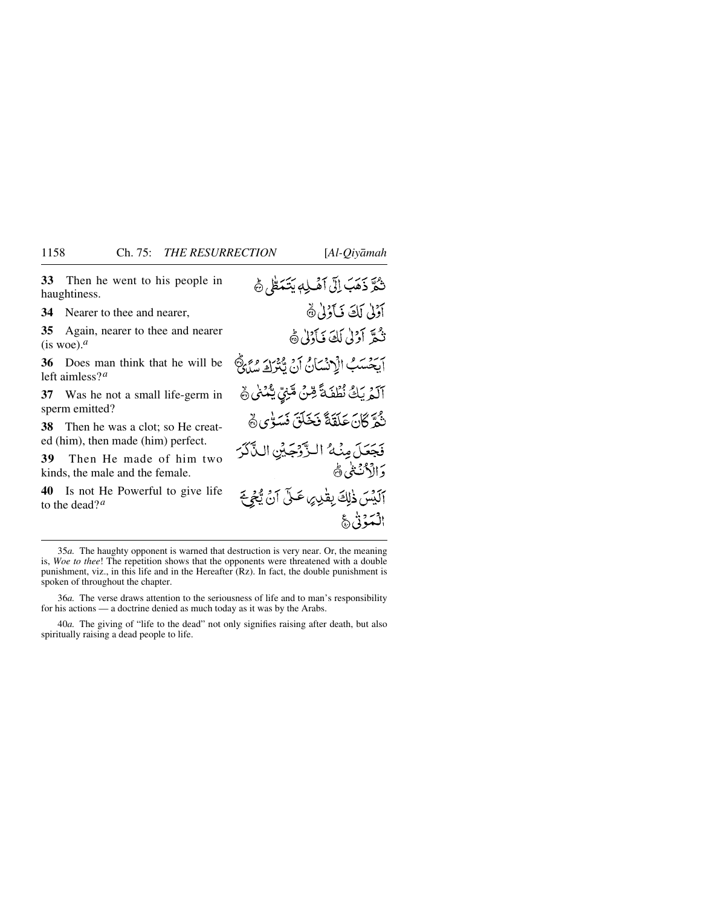**33** Then he went to his people in haughtiness.

**34** Nearer to thee and nearer,

**35** Again, nearer to thee and nearer  $(i$ s woe).<sup>*a*</sup>

**36** Does man think that he will be left aimless?*<sup>a</sup>*

**37** Was he not a small life-germ in sperm emitted?

**38** Then he was a clot; so He created (him), then made (him) perfect.

**39** Then He made of him two kinds, the male and the female.

**40** Is not He Powerful to give life to the dead?*<sup>a</sup>*

| ثُمَّرَّ ذَهَبَ إِلَّى آَهُــٰلِهٖ يَتَـَمَـُّلِّي ۞ |              |
|------------------------------------------------------|--------------|
| أَوْلَى لَكَ فَأَوْلَىٰ۞                             |              |
| ثُمَّرَ أَوْلَىٰ لَكَ فَأَوْلَىٰ ﴾                   |              |
| أَيَحْسَبُ الْإِنْسَانُ أَنْ يَّتْزَكَ سُلَيْ        |              |
| ٱلْمُرِيَكَ نُطْفَةً مِّنَّ مَّنِيٍّ يَتَّنُهُنَّ هُ |              |
| نْمُرَّ كَانَ عَلَقَةً فَخَلَقَ فَسَوْيٍ ﴾           |              |
| فَجَعَلَ مِنْهُ الزَّوْجَيْنِ الذَّكَرَ              |              |
| <b>وَالْأَنْتُنَىٰ ﴾</b>                             |              |
| آلَيْسَ ذٰلِكَ بِقْدِرِ عَلَّى آنَ يُّجِّحَ          |              |
|                                                      | الْمَوْنَيَّ |

36*a.* The verse draws attention to the seriousness of life and to man's responsibility for his actions — a doctrine denied as much today as it was by the Arabs.

40*a.* The giving of "life to the dead" not only signifies raising after death, but also spiritually raising a dead people to life.

<sup>35</sup>*a.* The haughty opponent is warned that destruction is very near. Or, the meaning is, *Woe to thee*! The repetition shows that the opponents were threatened with a double punishment, viz., in this life and in the Hereafter (Rz). In fact, the double punishment is spoken of throughout the chapter.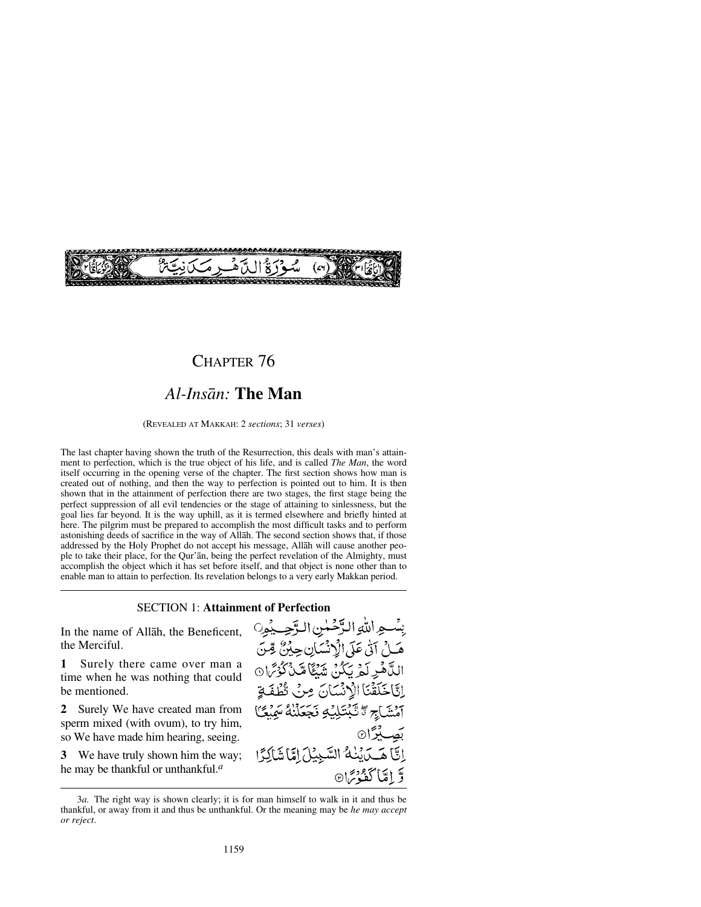

### CHAPTER 76

# *Al-Insån:* **The Man**

(REVEALED AT MAKKAH: 2 *sections*; 31 *verses*)

The last chapter having shown the truth of the Resurrection, this deals with man's attainment to perfection, which is the true object of his life, and is called *The Man*, the word itself occurring in the opening verse of the chapter. The first section shows how man is created out of nothing, and then the way to perfection is pointed out to him. It is then shown that in the attainment of perfection there are two stages, the first stage being the perfect suppression of all evil tendencies or the stage of attaining to sinlessness, but the goal lies far beyond. It is the way uphill, as it is termed elsewhere and briefly hinted at here. The pilgrim must be prepared to accomplish the most difficult tasks and to perform astonishing deeds of sacrifice in the way of Allåh. The second section shows that, if those addressed by the Holy Prophet do not accept his message, Allåh will cause another people to take their place, for the Qur'ån, being the perfect revelation of the Almighty, must accomplish the object which it has set before itself, and that object is none other than to enable man to attain to perfection. Its revelation belongs to a very early Makkan period.

#### SECTION 1: **Attainment of Perfection**

In the name of Allåh, the Beneficent, the Merciful.

**1** Surely there came over man a time when he was nothing that could be mentioned.

**2** Surely We have created man from sperm mixed (with ovum), to try him, so We have made him hearing, seeing.

**3** We have truly shown him the way; he may be thankful or unthankful.*<sup>a</sup>*

بِسَّعِ اللهِ الرَّحْمٰنِ الرَّحِيْمِ هَــلُ آنَٰى عَلَى الْإِنْسَانِ حِيْنٌ قِّتَ اللَّاهُولَمُ يَكُنُّ شَيُّاً مَّنْ كُوْتَرَان إِيَّا خَلَقْنَا الْأَنْسَانَ مِنْ تَطْفَةِ آمۡشَاجِ ۗ تَّبۡتَٰلِيۡۡےٖ نَجَعَلۡنَٰهُ سَمِيۡ بَصِبِيْرًا۞ إِنَّ هَــدَيْنُهُ السَّنِيْلَ إِمَّا شَالِدًا يَّ اِمَّا كَفُوْسَ<sup>1</sup>®

<sup>3</sup>*a.* The right way is shown clearly; it is for man himself to walk in it and thus be thankful, or away from it and thus be unthankful. Or the meaning may be *he may accept or reject*.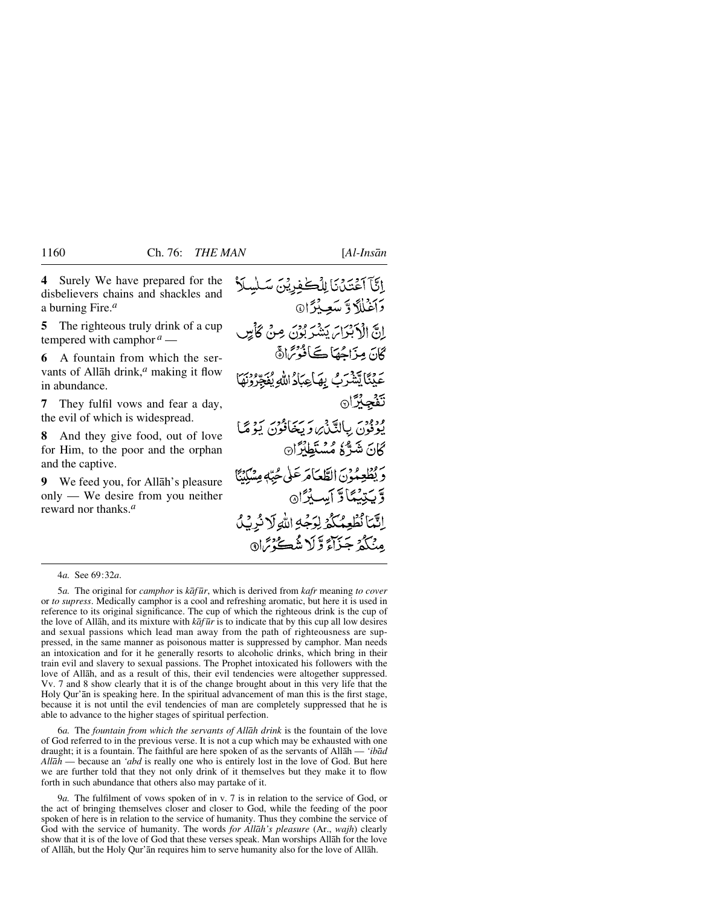اِنَّمَا نُطْعِمُكُمُ لِرَجُهِ اللَّهِ لَا نُرِيْكُ مِنْكُمْ جَزَاءً وَّلَا شُڪُّ مِّا۞

**4** Surely We have prepared for the إِنَّآ آَعُتَنْ نَا لِلْكُفِرِيْنَ سَلْسِلاً disbelievers chains and shackles and دَأَغَلْلَا دَّ سَعِيدُدَا@ a burning Fire.*<sup>a</sup>* **5** The righteous truly drink of a cup انَّ الْأَبْدَاسَ يَشْرَ بُوْنَ مِنْ كَأَمِيں tempered with camphor  $a$  — ڳانَ مِزَاجُهَا ڪَافُوْتَرَاهُ **6** A fountain from which the servants of Allåh drink,*<sup>a</sup>* making it flow عَلِّنَا تِشْرَبُ بِهَاعِيَادُاللهِ يُفَجِّرُونَهَا in abundance. تَفْجِئْرَا **7** They fulfil vows and fear a day, the evil of which is widespread. ودودسَ بِبِالِدَّيْنِ وَيَخَافُونَ يَوْمَحَا **8** And they give food, out of love كَانَ شَرٌّ لَا مُسْلَطْلُرًا۞ for Him, to the poor and the orphan and the captive. حَ يُطْعِمُونَ الطَّعَامَ عَلَى حُبَّهٖ مِسْكِنَّا **9** We feed you, for Allåh's pleasure only — We desire from you neither وَّيَتِيْبُنَادَ أَسِيْرًا۞ reward nor thanks.*<sup>a</sup>*

4*a.* See 69:32*a*.

5*a.* The original for *camphor* is *kåf ∂r*, which is derived from *kafr* meaning *to cover* or *to supress*. Medically camphor is a cool and refreshing aromatic, but here it is used in reference to its original significance. The cup of which the righteous drink is the cup of the love of Allåh, and its mixture with *kåf ∂r* is to indicate that by this cup all low desires and sexual passions which lead man away from the path of righteousness are suppressed, in the same manner as poisonous matter is suppressed by camphor. Man needs an intoxication and for it he generally resorts to alcoholic drinks, which bring in their train evil and slavery to sexual passions. The Prophet intoxicated his followers with the love of Allåh, and as a result of this, their evil tendencies were altogether suppressed. Vv. 7 and 8 show clearly that it is of the change brought about in this very life that the Holy Qur'ån is speaking here. In the spiritual advancement of man this is the first stage, because it is not until the evil tendencies of man are completely suppressed that he is able to advance to the higher stages of spiritual perfection.

6*a.* The *fountain from which the servants of Allåh drink* is the fountain of the love of God referred to in the previous verse. It is not a cup which may be exhausted with one draught; it is a fountain. The faithful are here spoken of as the servants of Allåh — *'ibåd Allåh* — because an *'abd* is really one who is entirely lost in the love of God. But here we are further told that they not only drink of it themselves but they make it to flow forth in such abundance that others also may partake of it.

9*a.* The fulfilment of vows spoken of in v. 7 is in relation to the service of God, or the act of bringing themselves closer and closer to God, while the feeding of the poor spoken of here is in relation to the service of humanity. Thus they combine the service of God with the service of humanity. The words *for Allåh's pleasure* (Ar., *wajh*) clearly show that it is of the love of God that these verses speak. Man worships Allåh for the love of Allåh, but the Holy Qur'ån requires him to serve humanity also for the love of Allåh.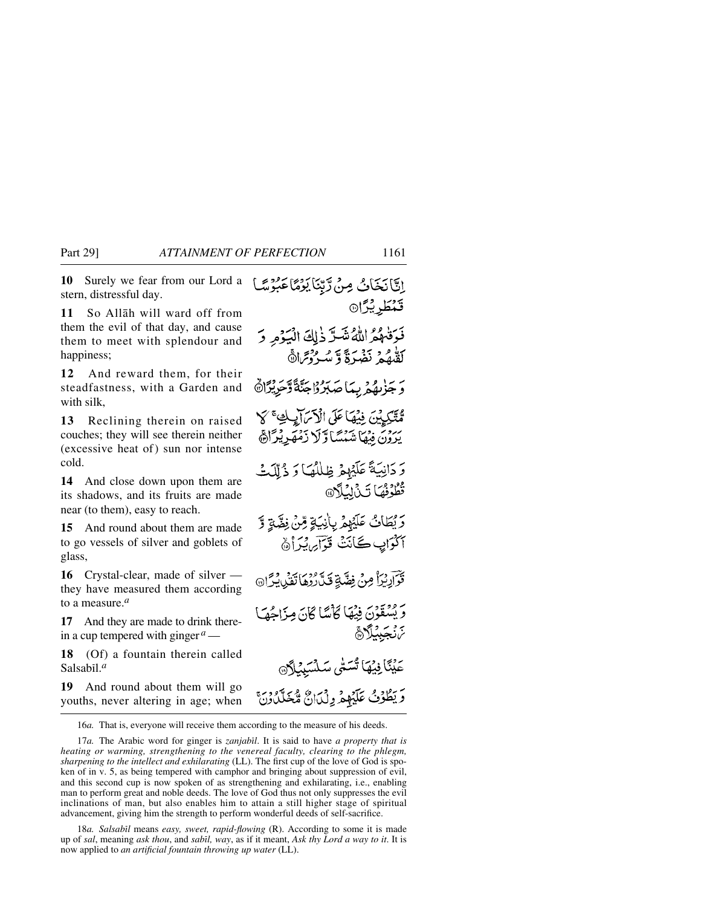**10** Surely we fear from our Lord a stern, distressful day.

**11** So Allåh will ward off from them the evil of that day, and cause them to meet with splendour and happiness;

**12** And reward them, for their steadfastness, with a Garden and with silk,

**13** Reclining therein on raised couches; they will see therein neither (excessive heat of) sun nor intense cold.

**14** And close down upon them are its shadows, and its fruits are made near (to them), easy to reach.

**15** And round about them are made to go vessels of silver and goblets of glass,

**16** Crystal-clear, made of silver they have measured them according to a measure.*<sup>a</sup>*

**17** And they are made to drink therein a cup tempered with ginger *<sup>a</sup>*—

**18** (Of) a fountain therein called Salsabil.<sup>*a*</sup>

**19** And round about them will go youths, never altering in age; when

إِنَّانَخَانُ مِنْ رَّبِّنَا يَوْمًا عَبُوْسً قَنْطُرِيْرًا۞ فَوَقْهُمُ اللَّهُ شَدَّ ذٰلِكَ الْيَوْمِ وَ كَقْدِمُهُمْ نَضْرَةً وَّ مَسْرُدْتِمَانَّ بِهُمْ بِبَاصَبِرُوْاجَنَّةً وَّجَرِيْرًا مُتَّكِيدُينَ فِيْهَا عَلَى الْأَسْرَابِ يَبْرُونَ فِيهَا شَنْسَنَا وَلَا زَمْهَرِيْرَاهَ وَ دَانِيَةً عَلَيْهِمْ ظِلْلُهُ) وَ ذُلِّكَتْ تُطُّوْثُهَا تَنْ لِيُلَّانَ رَّيْطَانُ عَلَيْهِمْ بِأَنِيَةٍ مِّنْ نِضَّةٍ وَّ أَكْوَابِ كَأَنَتْ قُوَّآَيِ يُدَأْهُ ٢٦ آرِيُرًا مِنْ فِضَّةٍ قَدَّرُوهَا تَقْنِيُّدُّ (٢٥ تَرَبَّقِيقَوْنَ فِيهَا كَأْسًا كَانَ مِزَاحُصًا *ڿ*ۯڿؠڷڰ۩ عَيْنَا فِيْهَا تَسَتَّى سَلَّا وَيَطْوُفُ عَلَيْهِمْ وِلْيَانٌ مُّخَلَّدُوْنَ ۚ

16*a.* That is, everyone will receive them according to the measure of his deeds.

17*a.* The Arabic word for ginger is *zanjabßl*. It is said to have *a property that is heating or warming, strengthening to the venereal faculty, clearing to the phlegm, sharpening to the intellect and exhilarating* (LL). The first cup of the love of God is spoken of in v. 5, as being tempered with camphor and bringing about suppression of evil, and this second cup is now spoken of as strengthening and exhilarating, i.e., enabling man to perform great and noble deeds. The love of God thus not only suppresses the evil inclinations of man, but also enables him to attain a still higher stage of spiritual advancement, giving him the strength to perform wonderful deeds of self-sacrifice.

18*a. Salsabil* means *easy, sweet, rapid-flowing* (R). According to some it is made up of *sal*, meaning *ask thou*, and *sabßl, way*, as if it meant, *Ask thy Lord a way to it*. It is now applied to *an artificial fountain throwing up water* (LL).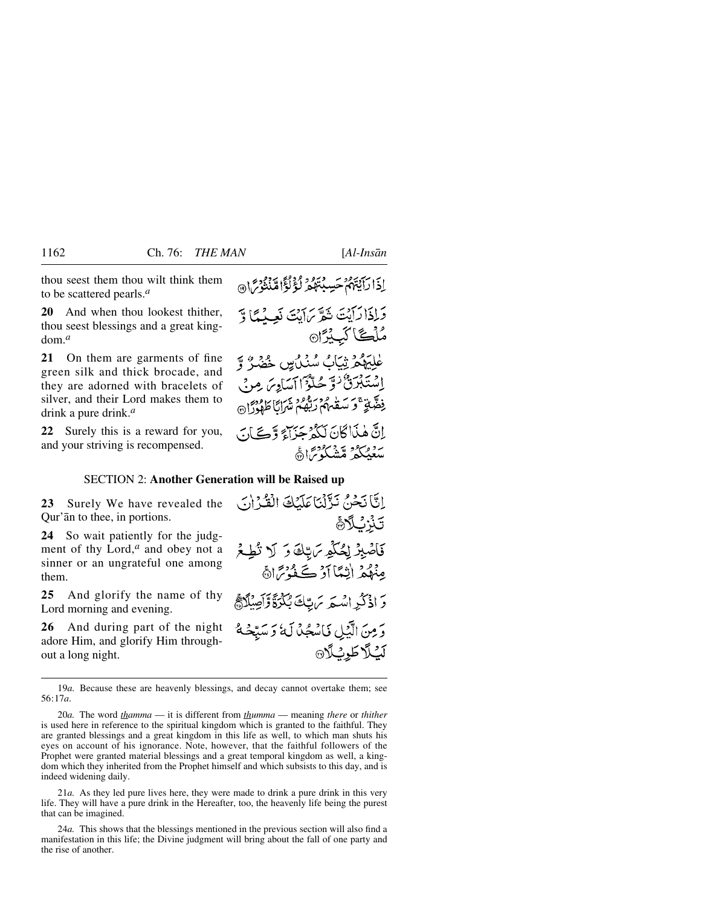thou seest them thou wilt think them to be scattered pearls.*<sup>a</sup>*

**20** And when thou lookest thither, thou seest blessings and a great kingdom.*<sup>a</sup>*

**21** On them are garments of fine green silk and thick brocade, and they are adorned with bracelets of silver, and their Lord makes them to drink a pure drink.*<sup>a</sup>*

**22** Surely this is a reward for you, and your striving is recompensed.

إِذَا رَآيَتَهُمْ حَسِبْتَهُمْ لَؤُلُؤُا مِّنْتُوْسَ ۞

وَلِذَارَآيَتَ ثَمَرٌ بِمَايَتَ نَعِيدُهَا وَّ مُلۡگَا کَبِیۡرَا۞ طْلِيَهِمْ ثِيَابُ سُنْدُيِنِ خَضْرٌ وَّ اِسْتَبْرَنَّ نُوَّ حُلُّوُّا آسَادِيَ مِنْ فِضَّيٍّ ۚ وَ سَعْبِهِمْ رَبُّهُمْ نَهَرَانًا طَهْدَدَا۞ اِنَّ هٰذَا كَانَ لَكُمْ جَزَاءً وَّڪَانَ سوميكو متشكوتراه

#### SECTION 2: **Another Generation will be Raised up**

**23** Surely We have revealed the Qur'ån to thee, in portions.

**24** So wait patiently for the judgment of thy Lord,*<sup>a</sup>* and obey not a sinner or an ungrateful one among them.

**25** And glorify the name of thy Lord morning and evening.

**26** And during part of the night adore Him, and glorify Him throughout a long night.

إِنَّا نَحْنُ نَزَّلْنَا عَلَيْكَ الْقُرْأَنَ ؾۮ۬ڹڷ؆ۿ فَاضْبِيْرْ لِمُكَّلِّهِ مَ بِّكَ وَ لَا نُطِعُ مِنْهُمْ إِنِّمَّا أَوْ كَجُدْسَ إِنَّ وَاذْكُرِ اسْتَرَ مَ تِبَكَ بُكْرَةً وَآصِيلًا وَمِنَ الَّذِلِ فَاسْجُلْ لَهُ وَسَبِّحُهُ لَيُلًا طَوِيُلًا®

19*a.* Because these are heavenly blessings, and decay cannot overtake them; see 56:17*a*.

20*a.* The word *thamma* — it is different from *thumma* — meaning *there* or *thither* is used here in reference to the spiritual kingdom which is granted to the faithful. They are granted blessings and a great kingdom in this life as well, to which man shuts his eyes on account of his ignorance. Note, however, that the faithful followers of the Prophet were granted material blessings and a great temporal kingdom as well, a kingdom which they inherited from the Prophet himself and which subsists to this day, and is indeed widening daily.

21*a.* As they led pure lives here, they were made to drink a pure drink in this very life. They will have a pure drink in the Hereafter, too, the heavenly life being the purest that can be imagined.

24*a.* This shows that the blessings mentioned in the previous section will also find a manifestation in this life; the Divine judgment will bring about the fall of one party and the rise of another.